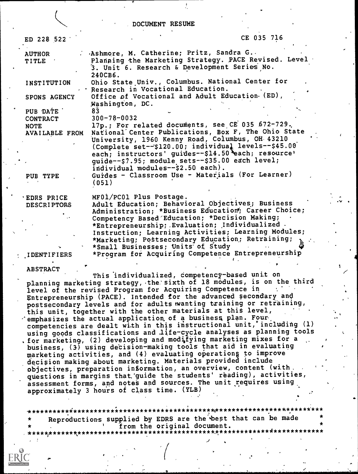DOCUMENT RESUME

| ED 228 522                                 | CE 035 716                                                                                                                                                                                                                                                                                                                                                                            |
|--------------------------------------------|---------------------------------------------------------------------------------------------------------------------------------------------------------------------------------------------------------------------------------------------------------------------------------------------------------------------------------------------------------------------------------------|
| <b>AUTHOR</b><br><b>TITLE</b>              | Ashmore, M. Catherine; Pritz, Sandra G.<br>Planning the Marketing Strategy. PACE Revised. Level<br>3. Unit 6. Research & Development Series No.                                                                                                                                                                                                                                       |
| <b>INSTITUTION</b>                         | 240CB6.<br>Ohio State Univ., Columbus. National Center for<br>Research in Vocational Education.                                                                                                                                                                                                                                                                                       |
| SPONS AGENCY                               | Office of Vocational and Adult Education. (ED),<br>Washington, DC.                                                                                                                                                                                                                                                                                                                    |
| PUB DATE<br><b>CONTRACT</b><br><b>NOTE</b> | 83<br>$300 - 78 - 0032$<br>17p.; For related documents, see CE 035 672-729.                                                                                                                                                                                                                                                                                                           |
| AVAILABLE FROM                             | National Center Publications, Box F, The Ohio State<br>University, 1960 Kenny Road, Columbus, OH 43210<br>(Complete set--\$120.00; individual levels--\$45.00)<br>each; instructors' guides--\$14.50 each; resource'<br>guide--\$7.95; module sets--\$35.00 each level;                                                                                                               |
| PUB TYPE                                   | individual modules--\$2.50 each).<br>Guides - Classroom Use - Materials (For Learner)<br>(051)                                                                                                                                                                                                                                                                                        |
| <b>EDRS PRICE</b><br><b>DESCRIPTORS</b>    | MF01/PC01 Plus Postage.<br>Adult Education; Behavioral Objectives; Business<br>Administration; *Business Education; Career Choice;<br>Competency Based Education; *Decision Making;<br>*Entrepreneurship; Evaluation; Individualized.<br>Instruction; Learning Activities; Learning Modules;<br>*Marketing; Postsecondary Education; Retraining;<br>*Small Businesses; Units of Study |
| <b>IDENTIFIERS</b>                         | *Program for Acquiring Competence Entrepreneurship                                                                                                                                                                                                                                                                                                                                    |
| <b>ABSTRACT</b>                            | This individualized, competency-based unit on                                                                                                                                                                                                                                                                                                                                         |
|                                            | planning marketing strategy, the sixth of 18 modules, is on the third<br>level of the revised Program for Acquiring Competence in<br>Entrepreneurship (PACE). Intended for the advanced secondary and<br>postsecondary levels and for adults wanting training or retraining,                                                                                                          |

this unit, together with the other materials at this level, which  $\cdot$  emphasizes the actual application of a business plan. Four, competencies are dealt with in this instructional unit,°including (1) using goods classifications and life-cycle analyses as planning tools . for marketing, (2) developing and modifying marketing mixes for a business,  $(3)$  using decision-making tools that aid in evaluating marketing activities, and (4) evaluating operationg to improve decision making about marketing. Materials provided include objectives, preparation information, an overview, content (with. questions in margins that:guide the students' reading), activities, assessment forms, and notes and sources. The unit requires using approximately 3 hours of class time.  $(YLB)$ 

Reproductions supplied by EDRS are the best that can be made Irom the original document. \*\*\*\*\*\*\*

,

J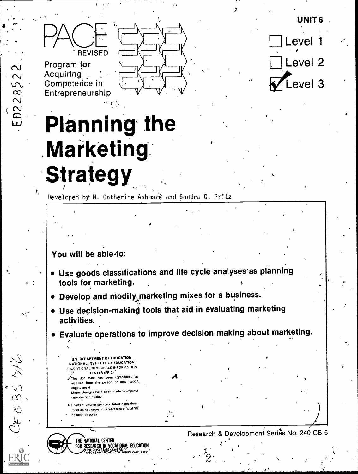



Acquiring Competence in Entrepreneurship

5  $\infty$ 

 $\overline{\mathcal{C}}$ 

**D2** 

 $O_4$   $O_5$   $O_5$ 



Level : Level<sub>2</sub> evel 3

# **Planning the** Marketing **Strategy**

Developed by M. Catherine Ashmore and Sandra G. Pritz

# You will be able-to:

- · Use goods classifications and life cycle analyses as planning tools for marketing.
- . Develop and modify marketing mixes for a business.
- Use decision-making tools that aid in evaluating marketing activities.
- Evaluate operations to improve decision making about marketing.

**U.S. DEPARTMENT OF EDUCATION** NATIONAL INSTITUTE OF EDUCATION EDUCATIONAL RESOURCES INFORMATION CENTER (ERIC) .<br>This document has been reproduced as

- received from the person or organization, originating it. Minor changes have been made to improve reproduction quality
- Points of view or opinions stated in this docu ment do not necessarily represent official NIE nosition or policy

THE NATIONAL CENTER FOR RESEARCH IN VOCATIONAL EDUCATION E UNIVERSITY<br>JAD - COLUMBUS -OHIO 43210

Research & Development Series No. 240 CB 6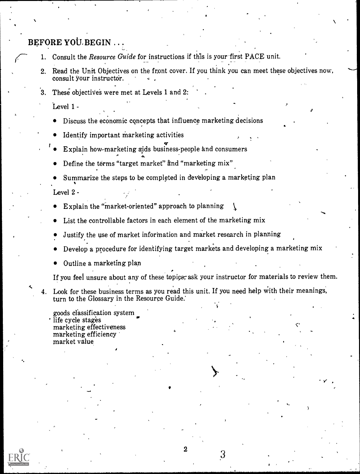- **BEFORE YOU.BEGIN** . . .<br>1. Consult the *Resource Guide* for instructions if this is your first PACE unit.
	- 2. Read the Unit Objectives on the front cover. If you think you can meet these objectives now, consult your instructor.
	- These objectives were met at Levels 1 and 2:  $3_{-}$

Level 1 -

- Discuss the economic cqncepts that influence marketing decisions
- Identify important marketing activities
- Explain how-marketing aids business-people and consumers
- Define the terms "target market" and "marketing mix"
- Summarize the steps to be completed in developing a marketing plan

Level 2 -

 $\sim$ 

- Explain the "market-oriented" approach to planning
- List the controllable factors in each element of the marketing mix
- Justify the use of market information and market research in planning
- Develop a procedure for identifying target markets and developing a marketing mix
- Outline a marketing plan

If you feel unsure about any of these topics, ask your instructor for materials to review them.

 $\mathbf{v}$  and  $\mathbf{v}$ 

3

c.

4. Look for these business terms as you read this unit. If you need help with their meanings, turn to the Glossary in the Resource Guide.'

goods classification system life cycle stages marketing effectiveness marketing efficiency market value

.04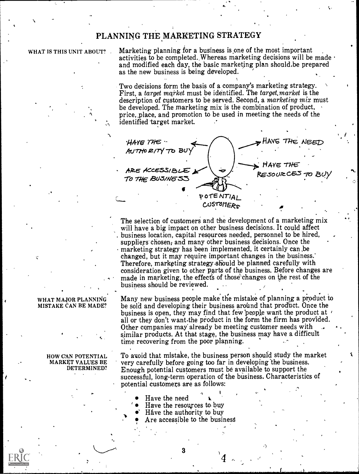# PLANNING THE MARKETING STRATEGY

### WHAT IS THIS UNIT ABOUT?

Marketing planning for a business is one of the most important activities to be completed. Whereas marketing decisions will be made  $\cdot$ and modified each day, the basic marketing plan should.be prepared as the new business is being developed.

Two decisions form the basis of a company's marketing strategy. First, a target market must be identified. The target, market is the description of customers to be served. Second, a *marketing mix* must be developed. The marketing mix is the combination of product, price, place, and promotion to be used in meeting the needs of the identified target market.

**HAYE THE** HAVE THE NEED AUTHORITY TO BUY HAVE THE ARE ACCESSIBLE RESOURCES TO BUY TO THE BUSINESS POTENTIAI CUSTOMERS

The selection of customers and the development of a marketing mix will have a big impact on other business decisions. It could affect business location, capital resources needed, personnel to be hired, suppliers chosen, and many other business decisions. Once the marketing strategy has been implemented, it certainly can be changed, but it may require important changes in the business.' Therefore, marketing strategy should be planned carefully with consideration given to other parts of the business. Before changes are made in marketing, the effects of those changes on the rest of the business should be reviewed.

Many new business people make the mistake of planning a product to be sold and developing their business around that product. Once the business is open, they may find that few people want the product at r all or they don't want the product in the form the firm has provided. Other companies may already be meeting customer needs with similar products. At that stage, the business may have a difficult time recovering from the poor planning.

To avoid that mistake, the business person should study the market very carefully before going too far in developing the business. Enough potential customers must be available to support the successful, long-term operation of the business. Characteristics of potential customers are as follows:

- Have the need
- Have the resources to buy
- Háve the authority to buy
- Are accessible to the business

3

WHAT MAJOR PLANNING MISTAKE CAN BE MADE?

> HOW CAN POTENTIAL **MARKET VALUES BE** DETERMINED?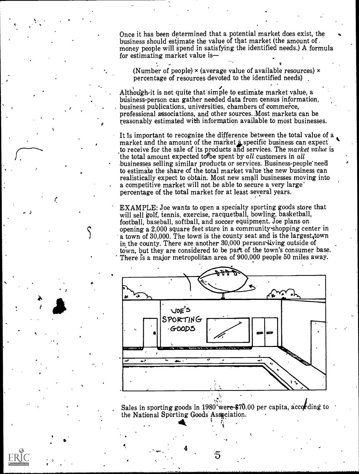Once it has been determined that a potential market does exist, the business should esiimate the value of that market (the amount of . money people will spend in satisfying the identified needs.) A formula for estimating market value is

(Number of people)  $\times$  (average value of available resources)  $\times$ percentage of resources devoted to the identified needs)

Although it is not quite that simple to estimate market value, a business-person can gather needed data from census information, business publications, universities, chambers of commerce, professional associations, and other sources..Most markets can be reasonably estimated with information available to most businesses.

It is important to recognize the difference between the total value of a market and the amount of the market  $\dot{a}$  specific business can expect to receive for the sale of its products and services. The market value is the total amount expected to be spent by all customers in all businesses selling similar products or services. Business-people'need to estimate the share of the total market value the new business can realistically expect to obtain. Most new small businesses moving into a competitive market will not be able to secure a very large percentage of the total market for at least several years.

EXAMPLE: Joe wants to open a specialty sporting goods store that will sell golf, tennis, exercise, racquetball, bowling, basketball, football, baseball, softball, and soccer equipment. Joe plans on opening a 2,000 square feet store in a community shopping center in a town of 30,000. The town is the county seat and is the largest, town in the county. There are another 30,000 persons living outside of town, but they are considered to be part of the town's consumer base. There is a major metropolitan area of 900,000 people 50 miles away.



Sales in sporting goods in 1980 were \$70.00 per capita, according to result of  $\sim$ the National Sporting Goods Association.

h,

4

 $\mathcal{L}^{\text{in}}$ k<sub>a</sub> kacamatan ing Kabupatèn Kabupatèn Kabupatèn Kabupatèn Kabupatèn Kabupatèn Kabupatèn Kabupatèn Kabupatèn Kabupatèn Kabupatèn Kabupatèn Kabupatèn Kabupatèn Kabupatèn Kabupatèn Kabupatèn Kabupatèn Kabupatèn Kabupatèn Kab

s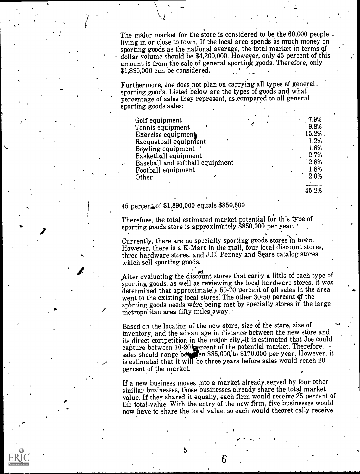The major market for the store is considered to be the 60,000 people. living in or close to town. If the local area spends as much money on sporting goods as the national average, the total market in terms qf dollar volume should be \$4,200,000. However, only 45 percent of this amount is from the sale of general sporting goods. Therefore, only  $$1,890,000$  can be considered.

Furthermore, Joe does not plan on carrying all types af general. sporting goods. Listed below are the types of goods and what percentage of sales they represent, as,compared to all general sporting goods sales:

| Golf equipment<br>Tennis equipment<br>Exercise equipment<br>Racquetball equipment<br>Bowling equipment<br>Basketball equipment<br>Baseball and softball equipment<br>Football equipment |  | 7.9%<br>9.8%<br>15.2%.<br>1.2%<br>1.8%<br>2.7%<br>2.8%<br>1.8% |  |
|-----------------------------------------------------------------------------------------------------------------------------------------------------------------------------------------|--|----------------------------------------------------------------|--|
| Other                                                                                                                                                                                   |  | 2.0%                                                           |  |
|                                                                                                                                                                                         |  |                                                                |  |

45.2%

## 45 percentof \$1,890,000 equals \$850,500

a

Therefore, the total estimated market potential for this type of sporting goods store is approximately \$850,000 per year.

Sporting goods store is approximately  $\phi$ 000,000 per year.<br>Currently, there are no specialty sporting goods stores in town. However, there is a K-Mart in the mall, four local discount stores, three hardware stores, and J.C. Penney and Sears catalog stores, which sell sporting goods,

 $\ddot{\phantom{1}}$ 

After evaluating the discount stores that carry a little of each type of sporting goods, as well as reviewing the local hardware stores, it was determined that approximately 50-70 percent of all sales in the area went to the existing local stores. The other  $30-50$  percent of the sporting goods needs were being met by specialty stores in the large metropolitan area fifty miles away.

Based on the location of the new store, size of the store, size of inventory, and the advantage in distance between the new store and its direct competition in the major city, it is estimated that Joe could capture between  $10-20$  percent of the potential market. Therefore, sales should range better on \$85,000/to \$170,000 per year. However, it is estimated that it will be three-years before-sales would-reach 20  $\qquad$   $\qquad$   $\qquad$   $\qquad$   $\qquad$   $\qquad$   $\qquad$   $\qquad$   $\qquad$   $\qquad$   $\qquad$   $\qquad$   $\qquad$   $\qquad$   $\qquad$   $\qquad$   $\qquad$   $\qquad$   $\qquad$   $\qquad$   $\qquad$   $\qquad$   $\qquad$   $\qquad$   $\qquad$   $\$ percent of the market.

If a new business moves into a market already,seryed by four other similar businesses, those businesses already share the total market value. If they shared it equally, each firm would receive 25 percent of the total.value. With the entry of the new firm, five businesses would now have to share the total value, so each would theoretically receive

 $6\,$  and  $\,$ 

-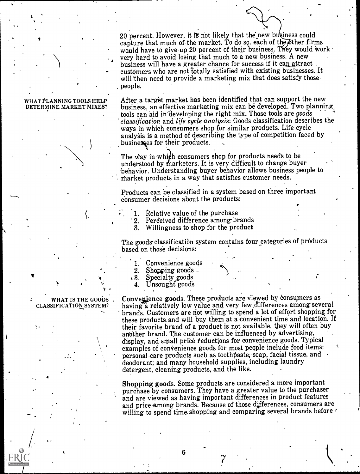20 percent. However, it is not likely that the new business could capture that much of the market. To do so, each of the other firms would have to give up 20 percent of their business. They would work very hard to avoid losing that much to a new business. A new business will have a greater chance for success if it can attract customers who are not totally satisfied with existing businesses. It will'then need to provide a marketing mix that does satisfy those- . people.

#### WHAT PLANNING TOOLS HELP DETERMINE MARKET MIXES?

, . . . . . . .  $\mathbf{r}$ 

After a target market has been identified that can support the new business, an effective marketing mix can be developed. Two planning, tools can aid in'developing the right mix. Those tools are goods classification and life cycle analysis: Goods classification describes the ways in which consumers shop for similar products. Life cycle analysis is a method of describing the type of competition faced by businesses for their products.

The way in which consumers shop for products needs to be understood by marketers. It is very difficult to change buyer -behavior. Understanding buyer behavior allows business people to market products in a way that satisfies customer needs.

- Products can be classified in a system based on three important consumer decisions about the products:

- 1. Relative value of the purchase<br>2. Perceived difference among br
	- 2. Perceived difference among brands<br>3. Willingness to shop for the product
	- Willingness to shop for the product

The goods classification system contains four categories of products based on those decisions:

- Convenience goods
- 2. Shapping goods  $\overline{.}$  3. Specialty goods
- Specialty goods
- 4. Unsought goods

WHAT IS THE GOODS . Convenience goods. These products are viewed by consumers as CLASSIFICATION SYSTEM? having a relatively low value and very few differences among sev having a relatively low value and very few differences among several brands. Customers are riot willing to spend a lot of effort shopping for these products, and will buy them at a convenient time and location. If their favorite brand of a product is not available, they will often buy another brand. The customer can be influenced by advertising, examples of convenience goods for most people include food items; display, and small price reductions for convenience goods. Typical personal care products such as toothpaste, soap, facial tissue, and deodorant; and many household supplies, including laundry detergent, cleaning products, and the like.

> Shopping goods. Some products are considered a more important purchase by consumers. They have a greater value to the purchaser and are viewed as having important differences in product features and price among brands. Because of those differences, consumers are willing to spend time shopping and comparing several brands before

4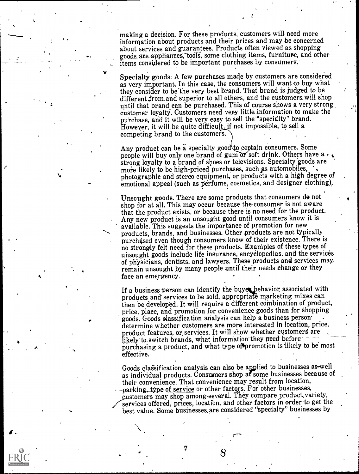making a decision. For these products, customers will need more<br>information about products and their prices and may be concerned<br>about services and guarantees. Products often viewed as shopping<br>goods are appliances, tools, information about products and their prices and may be concerned about services and guarantees. Products often viewed as shopping items considered to be important purchases by consumers.

> Specialty goods. A few purchases made by customers are considered as very important. In this case, the consumers will want to buy what they consider to be the very best brand. That brand is judged to be different from and superior to all others, and the customers will shop until that brand can be purchased. This of course shows a very strong customer loyalty. Customers need very little information to make the purchase, and it will be very easy to sell the "specialty" brand. However, it will be quite difficult, if not impossible, to sell a competing brand to the customers.

> Any product can be a specialty good to ceptain consumers. Some people will buy only one brand of gum or soft drink. Others have  $a \cdot \lambda$ strong loyalty to a brand of shoes or televisions. Specialty goods are more likely to be high-priced purchases, such as automobiles, photographic and stereo equipment, or products with a high degree of emotional appeal (such as perfume, cosmetics, and designer clothing).

> Unsought goods. There are some products that consumers de not shop for at all. This may occur because the-consumer is not aware that the product exists, or because there is no need for the product. Any new product is an unsought good until consumers know it is available. This suggests the importance of promotion for new products, brands, and businesses. Other products are not typically purchased even though consumers know of their existence. There is no strongly felt need for these products. Exaniples of these types of uhsought goods include life insurance, encyelopedias, and the services of physicians, dentists, and lawyers. These products and services may, remain unsought by many people until their needs change or they face an emergency.

> If a business person can identify the buyer behavior associated with products and services to be sold, appropriate marketing mixes can then be developed. It will require a different combination of product, price, place, and promotion for convenience goods than for shopping goods. Goods classification analysis can help a business person determine whether customers are more interested in location. price. product features, or services. It will show whether customers are likely to switch brands, what information they need before purchasing a product, and what type of promotion is likely to be most effective.

> Goods classification analysis can also be applied to businesses as-well as individual products. Consumers shop af some businesses because of their convenience. That convenience may result from location, -parking, type of service or other factors. For other businesses, \_c.ustomers may shop among-several. They compare product,variety, services offered, prices, location, and other factors in order to get the best value. Some businesses,are considered "specialty" businesses by

 $\mathbf{A} = \begin{bmatrix} 1 & 1 & 1 \\ 1 & 1 & 1 \end{bmatrix}$ 

4 ,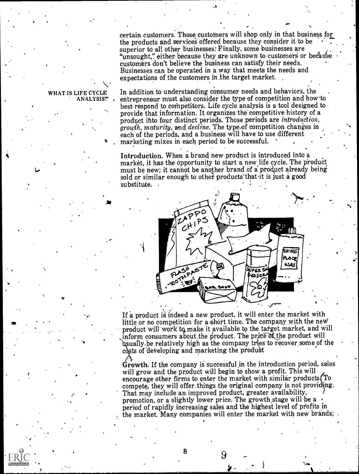certain customers. Those customers will shop only in that business for the products and services offered because they consider it to be superior to all other businesses. Finally, some businesses are "unsought," either because they are unknown to customers or because customers don't believe the business can satisfy their needs. Businesses can be operated in a way that meets the needs and expectations of the customers in .the target market.

,

#### WHAT IS LIFE CYCLE ANALYSIS?

 $\overline{L}$ 

In addition to understanding consumer needs and behaviors, the entrepreneur must also consider the type of competition and how-to best respond to competitors. Life cycle analysis is a tool designed to provide that information. It organizes the competitive history of a product ihto four distinct periods. Those periods are introduction, growth, maturity, and decline. The type,of competition changes in each of the periods, and a business will have to use different marketing mixes in each period to be successful.

Introduction. When a brand new product is introduced into a market, it has the opportunity to start a new life cycle. The product must be new; it cannot be another brand of a product already being sold or similar enough to other products that it is just a good substitute. .



If a product is indeed a new product, it will enter the market with little or no competition for a short time. The company with the new product will work to make it available to the target market, and will inform consumers about the product. The price of the product will usually be relatively high as the company tries to recover some of the costs of developing and marketing the product

I.

Growth. If the company is successful in the introduction period, sales will grow and the product will begin to show a profit. This will encourage other firms to enter the market with similar products  $(T_0$ compete, they will offer things the original company is not providing.<br>That may include an improved product, greater availability, promotion, or a slightly lower price. The growth stage will be a period of rapidly increasing sales and the highest level of profits in the market. Many companies will enter the market with new brands;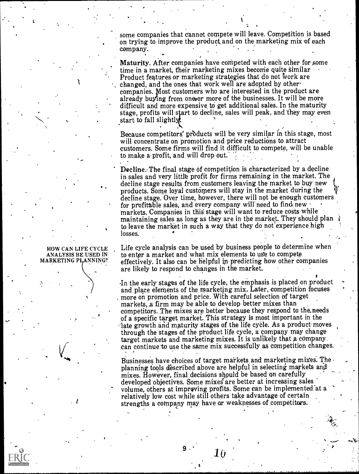some companies that cannot compete will leave. Competition is based on trying to improve the product and on the marketing mix of each company.

Maturity. After companies have competed with each other for some time in a market, their marketing mixes become quite similar Product features or marketing strategies that do not work are changed, and the ones that work well are adopted by other companies. Most customers who are interested in the product are already buying from one or more of the businesses. It will be more difficult and more expensive to get additional sales. In the maturity stage, profits will start to decline, sales will peak, and they may even start to fall slightl

Because competitors' prbducts will be very similar in this stage, most will concentrate on promotion and price reductions to attract customers. Some firms will find it difficult to compete, will be unable to make a profit, and will drop out.

Decline. The final stage of competition is characterized by a decline in sales and very little profit for firms remaining in the market. The decline stage results from customers leaving the market to buy new products. Some loyal customers will stay in the market during the decline stage. Over time, however, there will not be enough customers for profitable sales, and every company will need to find new markets. Companies in this stage will want to reduce costs while maintaining sales as long as they are in the market. They should plan to leave the market in such a way that they do not experience high losses.

Life cycle analysis can be used by business people to determine when to enter a market and what mix elements to use to compete effectively. It also can be helpful in predicting how other companies are likely to respond to changes in the market.

.In the early stages of the life cycle, the emphasis is placed on product and place elements of the marketing mix. Later, competition focuses more on promotion and price. With careful selection of target markets, a firm may be able to develop better mixes than competitors. The mixes are better because they respond to the needs of a specific target market. This strategy is most important in the late growth and maturity stages of the life cycle. As a product moves through the stages of the ptoduct life cycle, a company may change target markets and marketing mixes. It is unlikely that a company. ean continue to use the same mix successfully as competition changes.

Businesses have choices of target markets and marketing mixes. The planning tools described above are helpful in selecting markets and mixes. However, final decisions should be based on carefully developed objectives. Some mixes are better at increasing sales volume, others at improving profits. Some can be implemented at a relatively low cost while still others take advantage of certain strengths a company may have or weaknesses of competitors.

 $\bm{10}$ 

#### HOW CAN LIFE CYCLE ANALYSIS BE USED IN MARKETING PLANNING?

 $\mathbf{I}$  and  $\mathbf{I}$ 

.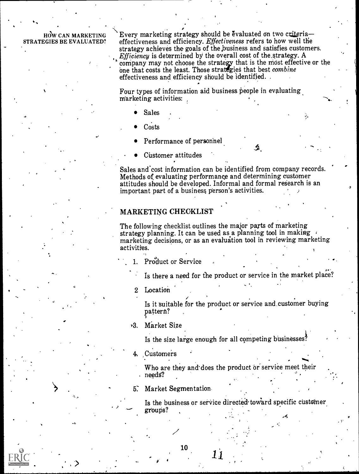HOW CAN MARKETING STRATEGIES BE EVALUATED?

Every marketing strategy should be evaluated on two criteriaeffectiveness and efficiency. Effectiveness refers to how well the strategy achieves the goals of the,business and satisfies customers. *Efficiency* is determined by the overall cost of the strategy. A company may not choose the strategy that is the most effective or the one that costs the least. Those strategies that best combine effectiveness and efficiency should be identified. .

 $\bullet$ ,  $\bullet$ 

Four types of information aid business people in evaluating marketing activities:

- Sales
- **Costs**
- Performance of personnel
- Customer attitudes

Sales and cost information can be identified from company records. Methods of evaluating performance and determining customer attitudes should be developed. Informal and formal research is an important part of a business person's activities.

## MARKETING CHEOKLIST

The following checklist outlines the major parts of marketing strategy planning. It can be used as a planning tool in making  $\cdot$ marketing decisions, or as an evaluation tool in reviewing marketing activities.

1. Product or Service

Is there a need for the product or service in the market place?

2 Location

<sup>&</sup>lt; I

Is it suitable for the product or service and.customer buying pattern?

rg. Market Size

Is the size large enough for all competing businesses?

4. Customers

Who are they and does the product or service meet their needg?

Market Segmentation.

Is the business or service directed toward specific customer groups?

.t

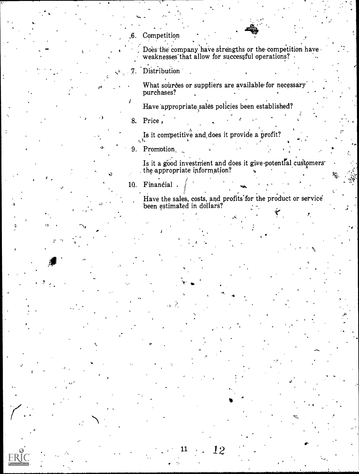Competition

Does the company have strengths or the competition have weaknesses that allow for successful operations?

Distribution 7.

> What sources or suppliers are available for necessary purchases?

Have appropriate sales policies been established?

8. Price,

Is it competitive and does it provide a profit?

9. Promotion.

Is it a good investment and does it give potential customers' the appropriate information?

 $10.$ Financial.

Have the sales, costs, and profits for the product or service<br>been estimated in dollars?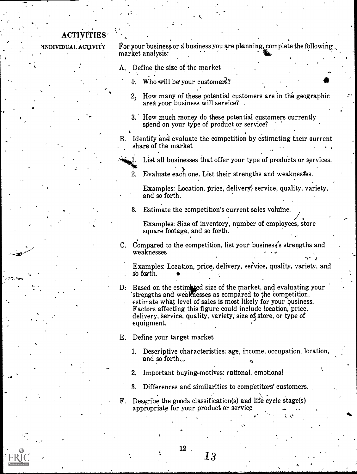# **ACTIVITIES**

 $\cdots$ 

INDIVIDUAL ACTIVITY  $\check{F}$  or your business or a business you are planning, complete the following, market analysis:

A. Define the size of the market

4

- Who will be your customers?
- 2. How many of these potential customers are in the geographic area your business will service?
- 3. How much money do these potential customers currently spend on your type of product or service?
- B. Identify and evaluate the competition by estimating their current share of the market
	- List all businesses that offer your type of products or services.
	- 2. Evaluate each one. List their strengths and weaknesses.

Examples: Location, price, delivery; service, quality, variety, and so forth.

3. Estimate the competition's current sales volume.<br>Examples: Size of inventory, number of employees, store square footage, and so forth.

C. Compared to the competition, list your business's strengths and weaknesses

Examples: Location, price, delivery, seFvice, quality, variety, and so forth.

- D: Based on the estimated size of the market, and evaluating your strengths and weaknesses as compared to the competition, estimate what level of sales is most likely for your business. Factors affecting this figure could include location, price, delivery, service, quality, variety, size of store, or type of equipment.
- E. Define your target market
	- 1. Descriptive characteristics: age, income, occupation, location, and so forth.
	- 2. Important buying motives: rational, emotional
	-
- 3. Differences and similarities to competitors' customers.<br> $\mathbf{F}$ . Describe the goods classification(s) and life cycle stage(s) appropriate for your product or service VICE  $\begin{array}{ccc} \downarrow & \downarrow & \downarrow \ \downarrow & \downarrow & \downarrow \ \end{array}$

12 .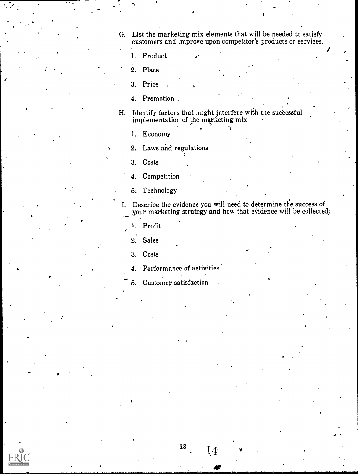G. List the marketing mix elements that will be needed to satisfy customers and improve upon competitor's products or services.

 $\bullet$  . The set of  $\bullet$ 

- 1. Product
- 2. Place
- 3. Price
- 4. Promotion
- H. Identify factors that might interfere with the successful implementation of the marketing mix
	- 1. Economy..
	- 2. Laws and regulations
	- 3. Costs
	- 4. Competition
	- 5. Technology
- I. Describe the evidence you will need to determine the success of your marketing strategy and how that evidence will be collected;
	- 1. Profit
	- 2. Sales
	- 3. Costs
	- 4. Performance of activities
	- 5. 'Customer satisfaction

 $14\,$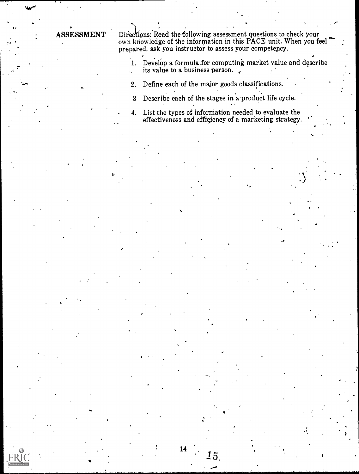ASSESSMENT Directions: Read the following assessment questions to check your own knowledge of the information in this PACE unit. When you feel  $\blacksquare$ prepared, ask you instructor to assess your competepcy.

> 1. Develop a formula.for computing market value and describe its value to a business person.  $\mathcal{L}_{\rm{max}}$

2.. Define each of the major goods classifications.

- 3 Describe each of the stages in a product life cycle.
- 4. List the types of inforniation needed to evaluate the effectiveness and efficiency of a marketing strategy.

 $15_\cdot$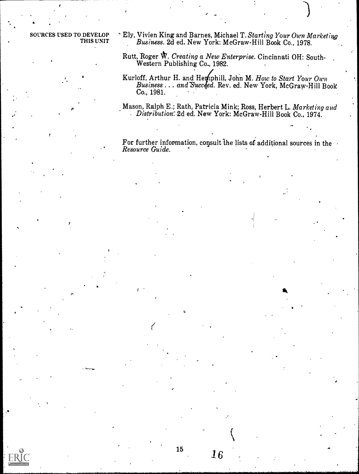SOURCES USED TO DEVELOP THIS UNIT

?

 $\mathbf{r}$ 

4

,

 $\mathbf{I}$ 

 $\mathbf{v} = \mathbf{v}$ 

 $\sqrt{2}$ 

- \* Ely, Vivien King and Barnes, Michael T. Starting Your Own Marketing Business. 2d ed. New York: McGraw-Hill Book Co., 1978.
- Rutt, Roger W. Creating a New Enterprise. Cincinnati OH: South-Western Publishing Co, 1982.
- Kurloff, Arthur H. and Hernphill, John M. How to Start Your Own Business . . . and Succeed. Rev. ed. New York, McGraw-Hill Book Co., 1981.

Mason, Ralph E.; Rath, Patricia Mink; Ross, Herbert L. Marketing and  $\sim$  Distribution: 2d ed. New York: McGraw-Hill Book Co., 1974.

..

For further information, consult the lists of additional sources in the Resource Cuide.

,